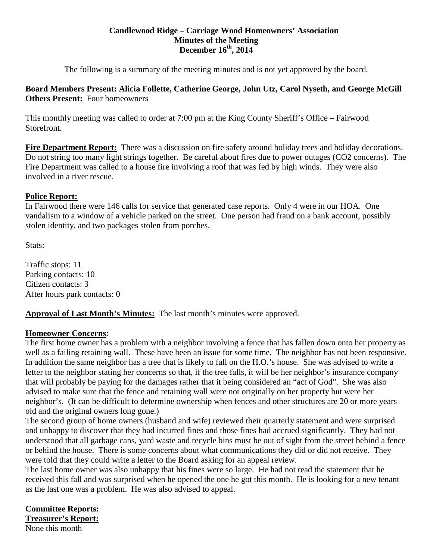# **Candlewood Ridge – Carriage Wood Homeowners' Association Minutes of the Meeting December 16th, 2014**

The following is a summary of the meeting minutes and is not yet approved by the board.

# **Board Members Present: Alicia Follette, Catherine George, John Utz, Carol Nyseth, and George McGill Others Present:** Four homeowners

This monthly meeting was called to order at 7:00 pm at the King County Sheriff's Office – Fairwood Storefront.

Fire Department Report: There was a discussion on fire safety around holiday trees and holiday decorations. Do not string too many light strings together. Be careful about fires due to power outages (CO2 concerns). The Fire Department was called to a house fire involving a roof that was fed by high winds. They were also involved in a river rescue.

# **Police Report:**

In Fairwood there were 146 calls for service that generated case reports. Only 4 were in our HOA. One vandalism to a window of a vehicle parked on the street. One person had fraud on a bank account, possibly stolen identity, and two packages stolen from porches.

Stats:

Traffic stops: 11 Parking contacts: 10 Citizen contacts: 3 After hours park contacts: 0

**Approval of Last Month's Minutes:** The last month's minutes were approved.

# **Homeowner Concerns:**

The first home owner has a problem with a neighbor involving a fence that has fallen down onto her property as well as a failing retaining wall. These have been an issue for some time. The neighbor has not been responsive. In addition the same neighbor has a tree that is likely to fall on the H.O.'s house. She was advised to write a letter to the neighbor stating her concerns so that, if the tree falls, it will be her neighbor's insurance company that will probably be paying for the damages rather that it being considered an "act of God". She was also advised to make sure that the fence and retaining wall were not originally on her property but were her neighbor's. (It can be difficult to determine ownership when fences and other structures are 20 or more years old and the original owners long gone.)

The second group of home owners (husband and wife) reviewed their quarterly statement and were surprised and unhappy to discover that they had incurred fines and those fines had accrued significantly. They had not understood that all garbage cans, yard waste and recycle bins must be out of sight from the street behind a fence or behind the house. There is some concerns about what communications they did or did not receive. They were told that they could write a letter to the Board asking for an appeal review.

The last home owner was also unhappy that his fines were so large. He had not read the statement that he received this fall and was surprised when he opened the one he got this month. He is looking for a new tenant as the last one was a problem. He was also advised to appeal.

**Committee Reports: Treasurer's Report:** None this month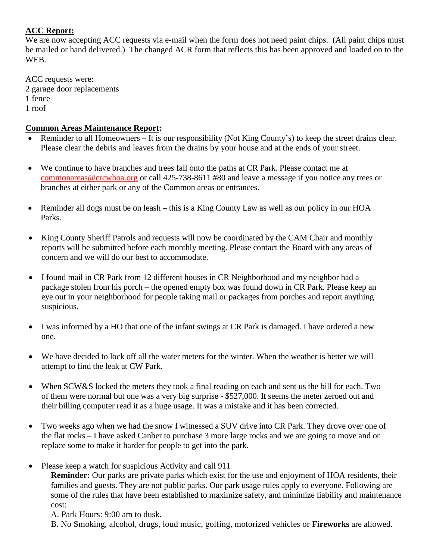# **ACC Report:**

We are now accepting ACC requests via e-mail when the form does not need paint chips. (All paint chips must be mailed or hand delivered.) The changed ACR form that reflects this has been approved and loaded on to the WEB.

ACC requests were: 2 garage door replacements 1 fence 1 roof

# **Common Areas Maintenance Report:**

- Reminder to all Homeowners It is our responsibility (Not King County's) to keep the street drains clear. Please clear the debris and leaves from the drains by your house and at the ends of your street.
- We continue to have branches and trees fall onto the paths at CR Park. Please contact me at [commonareas@crcwhoa.org](mailto:commonareas@crcwhoa.org) or call 425-738-8611 #80 and leave a message if you notice any trees or branches at either park or any of the Common areas or entrances.
- Reminder all dogs must be on leash this is a King County Law as well as our policy in our HOA Parks.
- King County Sheriff Patrols and requests will now be coordinated by the CAM Chair and monthly reports will be submitted before each monthly meeting. Please contact the Board with any areas of concern and we will do our best to accommodate.
- I found mail in CR Park from 12 different houses in CR Neighborhood and my neighbor had a package stolen from his porch – the opened empty box was found down in CR Park. Please keep an eye out in your neighborhood for people taking mail or packages from porches and report anything suspicious.
- I was informed by a HO that one of the infant swings at CR Park is damaged. I have ordered a new one.
- We have decided to lock off all the water meters for the winter. When the weather is better we will attempt to find the leak at CW Park.
- When SCW&S locked the meters they took a final reading on each and sent us the bill for each. Two of them were normal but one was a very big surprise - \$527,000. It seems the meter zeroed out and their billing computer read it as a huge usage. It was a mistake and it has been corrected.
- Two weeks ago when we had the snow I witnessed a SUV drive into CR Park. They drove over one of the flat rocks – I have asked Canber to purchase 3 more large rocks and we are going to move and or replace some to make it harder for people to get into the park.
- Please keep a watch for suspicious Activity and call 911

**Reminder:** Our parks are private parks which exist for the use and enjoyment of HOA residents, their families and guests. They are not public parks. Our park usage rules apply to everyone. Following are some of the rules that have been established to maximize safety, and minimize liability and maintenance cost:

A. Park Hours: 9:00 am to dusk.

B. No Smoking, alcohol, drugs, loud music, golfing, motorized vehicles or **Fireworks** are allowed.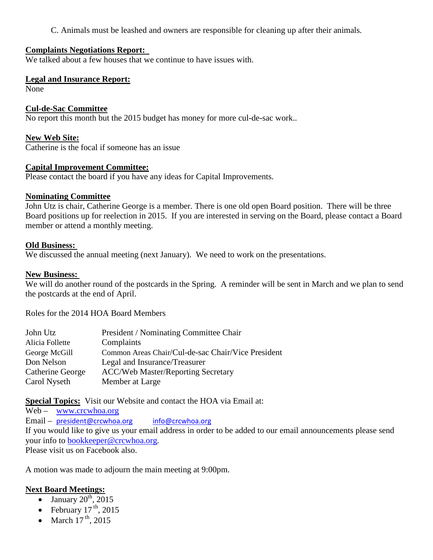C. Animals must be leashed and owners are responsible for cleaning up after their animals.

## **Complaints Negotiations Report:**

We talked about a few houses that we continue to have issues with.

## **Legal and Insurance Report:**

None

## **Cul-de-Sac Committee**

No report this month but the 2015 budget has money for more cul-de-sac work..

## **New Web Site:**

Catherine is the focal if someone has an issue

### **Capital Improvement Committee:**

Please contact the board if you have any ideas for Capital Improvements.

### **Nominating Committee**

John Utz is chair, Catherine George is a member. There is one old open Board position. There will be three Board positions up for reelection in 2015. If you are interested in serving on the Board, please contact a Board member or attend a monthly meeting.

### **Old Business:**

We discussed the annual meeting (next January). We need to work on the presentations.

### **New Business:**

We will do another round of the postcards in the Spring. A reminder will be sent in March and we plan to send the postcards at the end of April.

Roles for the 2014 HOA Board Members

| John Utz         | President / Nominating Committee Chair             |
|------------------|----------------------------------------------------|
| Alicia Follette  | Complaints                                         |
| George McGill    | Common Areas Chair/Cul-de-sac Chair/Vice President |
| Don Nelson       | Legal and Insurance/Treasurer                      |
| Catherine George | <b>ACC/Web Master/Reporting Secretary</b>          |
| Carol Nyseth     | Member at Large                                    |

**Special Topics:** Visit our Website and contact the HOA via Email at:

Web – [www.crcwhoa.org](http://www.crcwhoa.org/) Email – [president@crcwhoa.org](mailto:president@crcwhoa.org) [info@crcwhoa.org](mailto:info@crcwhoa.org) If you would like to give us your email address in order to be added to our email announcements please send your info to [bookkeeper@crcwhoa.org.](mailto:bookkeeper@crcwhoa.org) Please visit us on Facebook also.

A motion was made to adjourn the main meeting at 9:00pm.

## **Next Board Meetings:**

- January  $20^{th}$ ,  $2015$
- February  $17<sup>th</sup>$ , 2015
- March  $17<sup>th</sup>$ , 2015